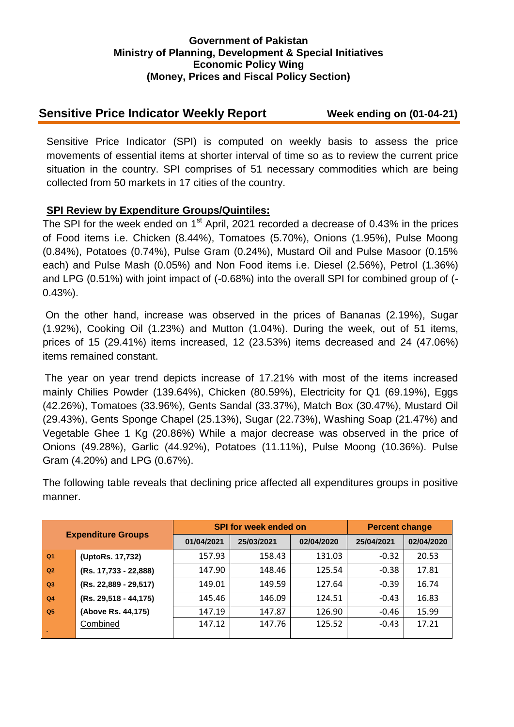### **Government of Pakistan Ministry of Planning, Development & Special Initiatives Economic Policy Wing (Money, Prices and Fiscal Policy Section)**

## **Sensitive Price Indicator Weekly Report Week ending on (01-04-21)**

Sensitive Price Indicator (SPI) is computed on weekly basis to assess the price movements of essential items at shorter interval of time so as to review the current price situation in the country. SPI comprises of 51 necessary commodities which are being collected from 50 markets in 17 cities of the country.

## **SPI Review by Expenditure Groups/Quintiles:**

The SPI for the week ended on  $1<sup>st</sup>$  April, 2021 recorded a decrease of 0.43% in the prices of Food items i.e. Chicken (8.44%), Tomatoes (5.70%), Onions (1.95%), Pulse Moong (0.84%), Potatoes (0.74%), Pulse Gram (0.24%), Mustard Oil and Pulse Masoor (0.15% each) and Pulse Mash (0.05%) and Non Food items i.e. Diesel (2.56%), Petrol (1.36%) and LPG (0.51%) with joint impact of (-0.68%) into the overall SPI for combined group of (- 0.43%).

On the other hand, increase was observed in the prices of Bananas (2.19%), Sugar (1.92%), Cooking Oil (1.23%) and Mutton (1.04%). During the week, out of 51 items, prices of 15 (29.41%) items increased, 12 (23.53%) items decreased and 24 (47.06%) items remained constant.

The year on year trend depicts increase of 17.21% with most of the items increased mainly Chilies Powder (139.64%), Chicken (80.59%), Electricity for Q1 (69.19%), Eggs (42.26%), Tomatoes (33.96%), Gents Sandal (33.37%), Match Box (30.47%), Mustard Oil (29.43%), Gents Sponge Chapel (25.13%), Sugar (22.73%), Washing Soap (21.47%) and Vegetable Ghee 1 Kg (20.86%) While a major decrease was observed in the price of Onions (49.28%), Garlic (44.92%), Potatoes (11.11%), Pulse Moong (10.36%). Pulse Gram (4.20%) and LPG (0.67%).

The following table reveals that declining price affected all expenditures groups in positive manner.

| <b>Expenditure Groups</b> |                         |            | <b>SPI for week ended on</b> | <b>Percent change</b> |            |            |
|---------------------------|-------------------------|------------|------------------------------|-----------------------|------------|------------|
|                           |                         | 01/04/2021 | 25/03/2021                   | 02/04/2020            | 25/04/2021 | 02/04/2020 |
| Q <sub>1</sub>            | (UptoRs. 17,732)        | 157.93     | 158.43                       | 131.03                | $-0.32$    | 20.53      |
| Q <sub>2</sub>            | (Rs. 17,733 - 22,888)   | 147.90     | 148.46                       | 125.54                | $-0.38$    | 17.81      |
| Q3                        | (Rs. 22,889 - 29,517)   | 149.01     | 149.59                       | 127.64                | $-0.39$    | 16.74      |
| Q <sub>4</sub>            | $(Rs. 29,518 - 44,175)$ | 145.46     | 146.09                       | 124.51                | $-0.43$    | 16.83      |
| Q <sub>5</sub>            | (Above Rs. 44,175)      | 147.19     | 147.87                       | 126.90                | $-0.46$    | 15.99      |
|                           | Combined                | 147.12     | 147.76                       | 125.52                | $-0.43$    | 17.21      |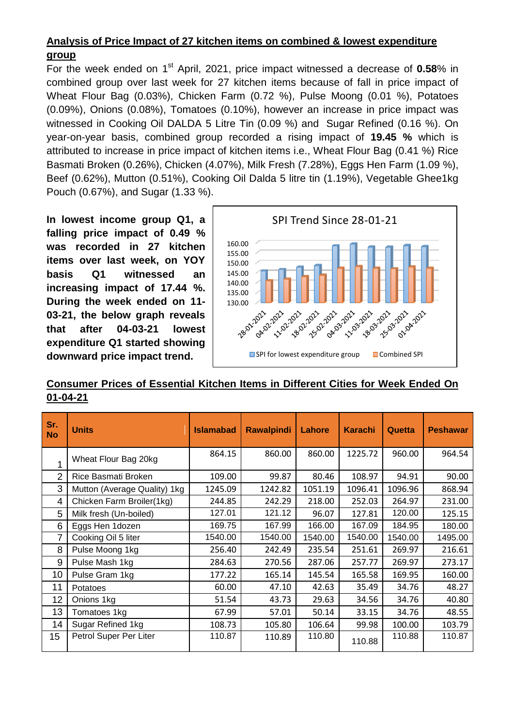# **Analysis of Price Impact of 27 kitchen items on combined & lowest expenditure group**

For the week ended on 1<sup>st</sup> April, 2021, price impact witnessed a decrease of 0.58% in combined group over last week for 27 kitchen items because of fall in price impact of Wheat Flour Bag (0.03%), Chicken Farm (0.72 %), Pulse Moong (0.01 %), Potatoes (0.09%), Onions (0.08%), Tomatoes (0.10%), however an increase in price impact was witnessed in Cooking Oil DALDA 5 Litre Tin (0.09 %) and Sugar Refined (0.16 %). On year-on-year basis, combined group recorded a rising impact of **19.45 %** which is attributed to increase in price impact of kitchen items i.e., Wheat Flour Bag (0.41 %) Rice Basmati Broken (0.26%), Chicken (4.07%), Milk Fresh (7.28%), Eggs Hen Farm (1.09 %), Beef (0.62%), Mutton (0.51%), Cooking Oil Dalda 5 litre tin (1.19%), Vegetable Ghee1kg Pouch (0.67%), and Sugar (1.33 %).

**In lowest income group Q1, a falling price impact of 0.49 % was recorded in 27 kitchen items over last week, on YOY basis Q1 witnessed an increasing impact of 17.44 %. During the week ended on 11- 03-21, the below graph reveals that after 04-03-21 lowest expenditure Q1 started showing downward price impact trend.**



**Consumer Prices of Essential Kitchen Items in Different Cities for Week Ended On 01-04-21**

| Sr.<br><b>No</b> | <b>Units</b>                 | <b>Islamabad</b> | <b>Rawalpindi</b> | Lahore  | <b>Karachi</b> | Quetta  | <b>Peshawar</b> |
|------------------|------------------------------|------------------|-------------------|---------|----------------|---------|-----------------|
| 1                | Wheat Flour Bag 20kg         | 864.15           | 860.00            | 860.00  | 1225.72        | 960.00  | 964.54          |
| $\overline{2}$   | Rice Basmati Broken          | 109.00           | 99.87             | 80.46   | 108.97         | 94.91   | 90.00           |
| 3                | Mutton (Average Quality) 1kg | 1245.09          | 1242.82           | 1051.19 | 1096.41        | 1096.96 | 868.94          |
| 4                | Chicken Farm Broiler(1kg)    | 244.85           | 242.29            | 218.00  | 252.03         | 264.97  | 231.00          |
| 5                | Milk fresh (Un-boiled)       | 127.01           | 121.12            | 96.07   | 127.81         | 120.00  | 125.15          |
| 6                | Eggs Hen 1dozen              | 169.75           | 167.99            | 166.00  | 167.09         | 184.95  | 180.00          |
| 7                | Cooking Oil 5 liter          | 1540.00          | 1540.00           | 1540.00 | 1540.00        | 1540.00 | 1495.00         |
| 8                | Pulse Moong 1kg              | 256.40           | 242.49            | 235.54  | 251.61         | 269.97  | 216.61          |
| 9                | Pulse Mash 1kg               | 284.63           | 270.56            | 287.06  | 257.77         | 269.97  | 273.17          |
| 10               | Pulse Gram 1kg               | 177.22           | 165.14            | 145.54  | 165.58         | 169.95  | 160.00          |
| 11               | Potatoes                     | 60.00            | 47.10             | 42.63   | 35.49          | 34.76   | 48.27           |
| 12               | Onions 1kg                   | 51.54            | 43.73             | 29.63   | 34.56          | 34.76   | 40.80           |
| 13               | Tomatoes 1kg                 | 67.99            | 57.01             | 50.14   | 33.15          | 34.76   | 48.55           |
| 14               | Sugar Refined 1kg            | 108.73           | 105.80            | 106.64  | 99.98          | 100.00  | 103.79          |
| 15               | Petrol Super Per Liter       | 110.87           | 110.89            | 110.80  | 110.88         | 110.88  | 110.87          |